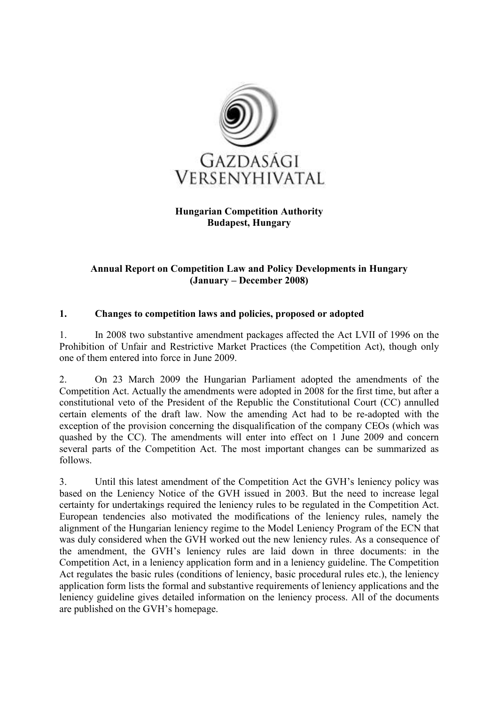

### Hungarian Competition Authority Budapest, Hungary

### Annual Report on Competition Law and Policy Developments in Hungary (January – December 2008)

### 1. Changes to competition laws and policies, proposed or adopted

1. In 2008 two substantive amendment packages affected the Act LVII of 1996 on the Prohibition of Unfair and Restrictive Market Practices (the Competition Act), though only one of them entered into force in June 2009.

2. On 23 March 2009 the Hungarian Parliament adopted the amendments of the Competition Act. Actually the amendments were adopted in 2008 for the first time, but after a constitutional veto of the President of the Republic the Constitutional Court (CC) annulled certain elements of the draft law. Now the amending Act had to be re-adopted with the exception of the provision concerning the disqualification of the company CEOs (which was quashed by the CC). The amendments will enter into effect on 1 June 2009 and concern several parts of the Competition Act. The most important changes can be summarized as follows.

3. Until this latest amendment of the Competition Act the GVH's leniency policy was based on the Leniency Notice of the GVH issued in 2003. But the need to increase legal certainty for undertakings required the leniency rules to be regulated in the Competition Act. European tendencies also motivated the modifications of the leniency rules, namely the alignment of the Hungarian leniency regime to the Model Leniency Program of the ECN that was duly considered when the GVH worked out the new leniency rules. As a consequence of the amendment, the GVH's leniency rules are laid down in three documents: in the Competition Act, in a leniency application form and in a leniency guideline. The Competition Act regulates the basic rules (conditions of leniency, basic procedural rules etc.), the leniency application form lists the formal and substantive requirements of leniency applications and the leniency guideline gives detailed information on the leniency process. All of the documents are published on the GVH's homepage.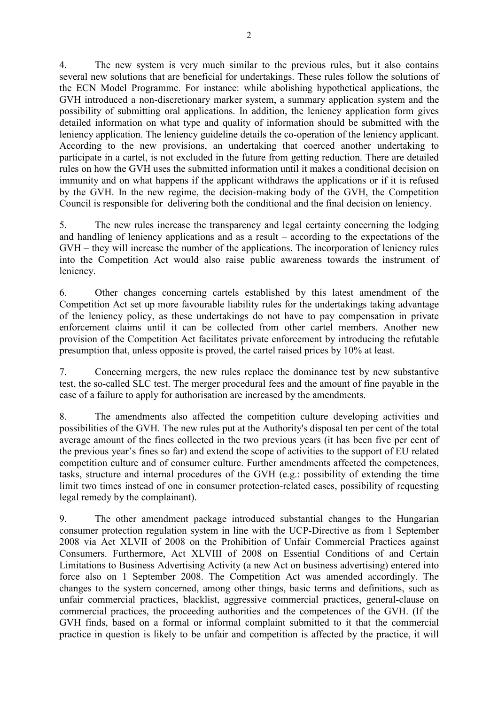4. The new system is very much similar to the previous rules, but it also contains several new solutions that are beneficial for undertakings. These rules follow the solutions of the ECN Model Programme. For instance: while abolishing hypothetical applications, the GVH introduced a non-discretionary marker system, a summary application system and the possibility of submitting oral applications. In addition, the leniency application form gives detailed information on what type and quality of information should be submitted with the leniency application. The leniency guideline details the co-operation of the leniency applicant. According to the new provisions, an undertaking that coerced another undertaking to participate in a cartel, is not excluded in the future from getting reduction. There are detailed rules on how the GVH uses the submitted information until it makes a conditional decision on immunity and on what happens if the applicant withdraws the applications or if it is refused by the GVH. In the new regime, the decision-making body of the GVH, the Competition Council is responsible for delivering both the conditional and the final decision on leniency.

5. The new rules increase the transparency and legal certainty concerning the lodging and handling of leniency applications and as a result – according to the expectations of the GVH – they will increase the number of the applications. The incorporation of leniency rules into the Competition Act would also raise public awareness towards the instrument of leniency.

6. Other changes concerning cartels established by this latest amendment of the Competition Act set up more favourable liability rules for the undertakings taking advantage of the leniency policy, as these undertakings do not have to pay compensation in private enforcement claims until it can be collected from other cartel members. Another new provision of the Competition Act facilitates private enforcement by introducing the refutable presumption that, unless opposite is proved, the cartel raised prices by 10% at least.

7. Concerning mergers, the new rules replace the dominance test by new substantive test, the so-called SLC test. The merger procedural fees and the amount of fine payable in the case of a failure to apply for authorisation are increased by the amendments.

8. The amendments also affected the competition culture developing activities and possibilities of the GVH. The new rules put at the Authority's disposal ten per cent of the total average amount of the fines collected in the two previous years (it has been five per cent of the previous year's fines so far) and extend the scope of activities to the support of EU related competition culture and of consumer culture. Further amendments affected the competences, tasks, structure and internal procedures of the GVH (e.g.: possibility of extending the time limit two times instead of one in consumer protection-related cases, possibility of requesting legal remedy by the complainant).

9. The other amendment package introduced substantial changes to the Hungarian consumer protection regulation system in line with the UCP-Directive as from 1 September 2008 via Act XLVII of 2008 on the Prohibition of Unfair Commercial Practices against Consumers. Furthermore, Act XLVIII of 2008 on Essential Conditions of and Certain Limitations to Business Advertising Activity (a new Act on business advertising) entered into force also on 1 September 2008. The Competition Act was amended accordingly. The changes to the system concerned, among other things, basic terms and definitions, such as unfair commercial practices, blacklist, aggressive commercial practices, general-clause on commercial practices, the proceeding authorities and the competences of the GVH. (If the GVH finds, based on a formal or informal complaint submitted to it that the commercial practice in question is likely to be unfair and competition is affected by the practice, it will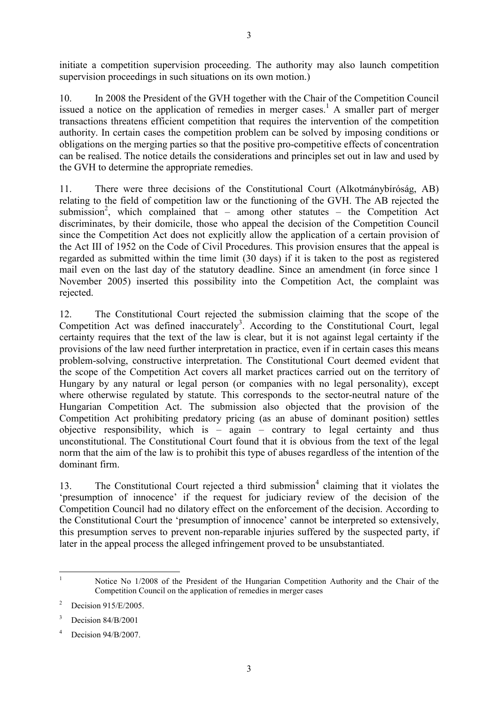initiate a competition supervision proceeding. The authority may also launch competition supervision proceedings in such situations on its own motion.)

10. In 2008 the President of the GVH together with the Chair of the Competition Council issued a notice on the application of remedies in merger cases.<sup>1</sup> A smaller part of merger transactions threatens efficient competition that requires the intervention of the competition authority. In certain cases the competition problem can be solved by imposing conditions or obligations on the merging parties so that the positive pro-competitive effects of concentration can be realised. The notice details the considerations and principles set out in law and used by the GVH to determine the appropriate remedies.

11. There were three decisions of the Constitutional Court (Alkotmánybíróság, AB) relating to the field of competition law or the functioning of the GVH. The AB rejected the submission<sup>2</sup>, which complained that – among other statutes – the Competition Act discriminates, by their domicile, those who appeal the decision of the Competition Council since the Competition Act does not explicitly allow the application of a certain provision of the Act III of 1952 on the Code of Civil Procedures. This provision ensures that the appeal is regarded as submitted within the time limit (30 days) if it is taken to the post as registered mail even on the last day of the statutory deadline. Since an amendment (in force since 1 November 2005) inserted this possibility into the Competition Act, the complaint was rejected.

12. The Constitutional Court rejected the submission claiming that the scope of the Competition Act was defined inaccurately<sup>3</sup>. According to the Constitutional Court, legal certainty requires that the text of the law is clear, but it is not against legal certainty if the provisions of the law need further interpretation in practice, even if in certain cases this means problem-solving, constructive interpretation. The Constitutional Court deemed evident that the scope of the Competition Act covers all market practices carried out on the territory of Hungary by any natural or legal person (or companies with no legal personality), except where otherwise regulated by statute. This corresponds to the sector-neutral nature of the Hungarian Competition Act. The submission also objected that the provision of the Competition Act prohibiting predatory pricing (as an abuse of dominant position) settles objective responsibility, which is  $-$  again  $-$  contrary to legal certainty and thus unconstitutional. The Constitutional Court found that it is obvious from the text of the legal norm that the aim of the law is to prohibit this type of abuses regardless of the intention of the dominant firm.

13. The Constitutional Court rejected a third submission<sup>4</sup> claiming that it violates the 'presumption of innocence' if the request for judiciary review of the decision of the Competition Council had no dilatory effect on the enforcement of the decision. According to the Constitutional Court the 'presumption of innocence' cannot be interpreted so extensively, this presumption serves to prevent non-reparable injuries suffered by the suspected party, if later in the appeal process the alleged infringement proved to be unsubstantiated.

 $\overline{a}$ 1

Notice No 1/2008 of the President of the Hungarian Competition Authority and the Chair of the Competition Council on the application of remedies in merger cases

<sup>2</sup> Decision 915/E/2005.

<sup>3</sup> Decision 84/B/2001

<sup>4</sup> Decision  $94/B/2007$ .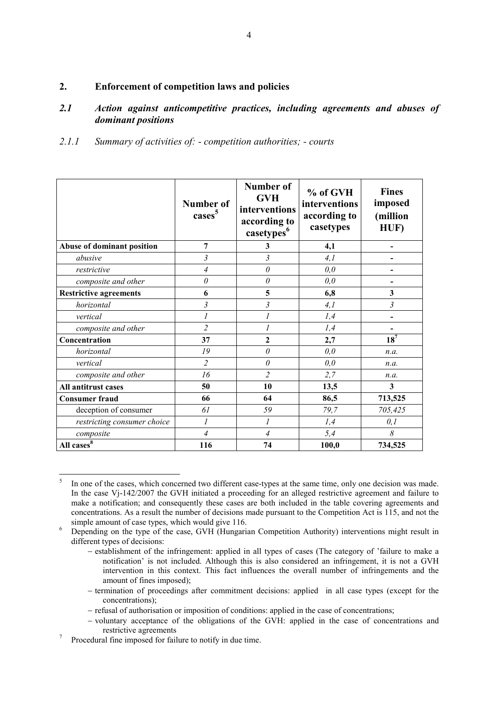#### 2. Enforcement of competition laws and policies

#### 2.1 Action against anticompetitive practices, including agreements and abuses of dominant positions

2.1.1 Summary of activities of: - competition authorities; - courts

|                               | Number of<br>cases <sup>5</sup> | Number of<br><b>GVH</b><br>interventions<br>according to<br>casetypes <sup>6</sup> | % of GVH<br>interventions<br>according to<br>casetypes | <b>Fines</b><br>imposed<br>(million<br>HUF) |  |
|-------------------------------|---------------------------------|------------------------------------------------------------------------------------|--------------------------------------------------------|---------------------------------------------|--|
| Abuse of dominant position    | 7                               | 3                                                                                  | 4,1                                                    |                                             |  |
| abusive                       | 3                               | $\mathfrak{Z}$                                                                     | 4,1                                                    |                                             |  |
| restrictive                   | 4                               | $\theta$                                                                           | 0,0                                                    |                                             |  |
| composite and other           | 0                               | $\theta$                                                                           | 0,0                                                    |                                             |  |
| <b>Restrictive agreements</b> | 6                               | 5                                                                                  | 6,8                                                    | $\mathbf{3}$                                |  |
| horizontal                    | 3                               | $\mathfrak{Z}$                                                                     | 4,1                                                    | $\mathfrak{Z}$                              |  |
| vertical                      | 1                               | $\mathcal{I}$                                                                      | 1,4                                                    | $\qquad \qquad \blacksquare$                |  |
| composite and other           | $\overline{2}$                  |                                                                                    | 1,4                                                    |                                             |  |
| Concentration                 | 37                              | $\overline{2}$                                                                     | 2,7                                                    | $18^7$                                      |  |
| horizontal                    | 19                              | $\theta$                                                                           | 0,0                                                    | n.a.                                        |  |
| vertical                      | $\overline{2}$                  | $\theta$                                                                           | 0,0                                                    | n.a.                                        |  |
| composite and other           | 16                              | $\overline{2}$                                                                     | 2,7                                                    | n.a.                                        |  |
| All antitrust cases           | 50                              | 10                                                                                 | 13,5                                                   | 3                                           |  |
| <b>Consumer fraud</b>         | 66                              | 64                                                                                 | 86,5                                                   | 713,525                                     |  |
| deception of consumer         | 61                              | 59                                                                                 | 79,7                                                   | 705,425                                     |  |
| restricting consumer choice   | $\mathfrak{I}$                  | 1                                                                                  | 1,4                                                    | 0,1                                         |  |
| composite                     | $\overline{4}$                  | $\overline{4}$                                                                     | 5,4                                                    | 8                                           |  |
| All cases <sup>8</sup>        | 116                             | 74                                                                                 | 100,0                                                  | 734,525                                     |  |

 5 In one of the cases, which concerned two different case-types at the same time, only one decision was made. In the case Vj-142/2007 the GVH initiated a proceeding for an alleged restrictive agreement and failure to make a notification; and consequently these cases are both included in the table covering agreements and concentrations. As a result the number of decisions made pursuant to the Competition Act is 115, and not the simple amount of case types, which would give 116.

<sup>6</sup> Depending on the type of the case, GVH (Hungarian Competition Authority) interventions might result in different types of decisions:

<sup>−</sup> establishment of the infringement: applied in all types of cases (The category of 'failure to make a notification' is not included. Although this is also considered an infringement, it is not a GVH intervention in this context. This fact influences the overall number of infringements and the amount of fines imposed);

<sup>−</sup> termination of proceedings after commitment decisions: applied in all case types (except for the concentrations);

<sup>−</sup> refusal of authorisation or imposition of conditions: applied in the case of concentrations;

<sup>−</sup> voluntary acceptance of the obligations of the GVH: applied in the case of concentrations and restrictive agreements

<sup>7</sup> Procedural fine imposed for failure to notify in due time.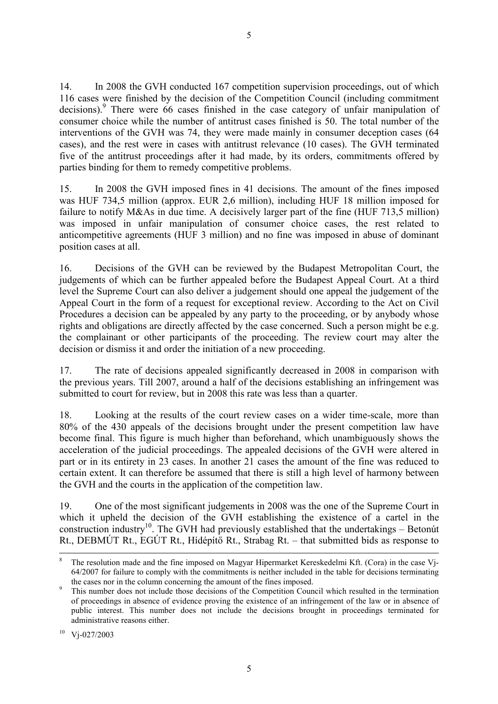14. In 2008 the GVH conducted 167 competition supervision proceedings, out of which 116 cases were finished by the decision of the Competition Council (including commitment decisions).<sup>9</sup> There were 66 cases finished in the case category of unfair manipulation of consumer choice while the number of antitrust cases finished is 50. The total number of the interventions of the GVH was 74, they were made mainly in consumer deception cases (64 cases), and the rest were in cases with antitrust relevance (10 cases). The GVH terminated five of the antitrust proceedings after it had made, by its orders, commitments offered by parties binding for them to remedy competitive problems.

15. In 2008 the GVH imposed fines in 41 decisions. The amount of the fines imposed was HUF 734,5 million (approx. EUR 2,6 million), including HUF 18 million imposed for failure to notify M&As in due time. A decisively larger part of the fine (HUF 713,5 million) was imposed in unfair manipulation of consumer choice cases, the rest related to anticompetitive agreements (HUF 3 million) and no fine was imposed in abuse of dominant position cases at all.

16. Decisions of the GVH can be reviewed by the Budapest Metropolitan Court, the judgements of which can be further appealed before the Budapest Appeal Court. At a third level the Supreme Court can also deliver a judgement should one appeal the judgement of the Appeal Court in the form of a request for exceptional review. According to the Act on Civil Procedures a decision can be appealed by any party to the proceeding, or by anybody whose rights and obligations are directly affected by the case concerned. Such a person might be e.g. the complainant or other participants of the proceeding. The review court may alter the decision or dismiss it and order the initiation of a new proceeding.

17. The rate of decisions appealed significantly decreased in 2008 in comparison with the previous years. Till 2007, around a half of the decisions establishing an infringement was submitted to court for review, but in 2008 this rate was less than a quarter.

18. Looking at the results of the court review cases on a wider time-scale, more than 80% of the 430 appeals of the decisions brought under the present competition law have become final. This figure is much higher than beforehand, which unambiguously shows the acceleration of the judicial proceedings. The appealed decisions of the GVH were altered in part or in its entirety in 23 cases. In another 21 cases the amount of the fine was reduced to certain extent. It can therefore be assumed that there is still a high level of harmony between the GVH and the courts in the application of the competition law.

19. One of the most significant judgements in 2008 was the one of the Supreme Court in which it upheld the decision of the GVH establishing the existence of a cartel in the construction industry<sup>10</sup>. The GVH had previously established that the undertakings – Betonút Rt., DEBMÚT Rt., EGÚT Rt., Hídépítő Rt., Strabag Rt. – that submitted bids as response to

 $\ddot{\phantom{a}}$ 8 The resolution made and the fine imposed on Magyar Hipermarket Kereskedelmi Kft. (Cora) in the case Vj-64/2007 for failure to comply with the commitments is neither included in the table for decisions terminating the cases nor in the column concerning the amount of the fines imposed.

<sup>9</sup> This number does not include those decisions of the Competition Council which resulted in the termination of proceedings in absence of evidence proving the existence of an infringement of the law or in absence of public interest. This number does not include the decisions brought in proceedings terminated for administrative reasons either.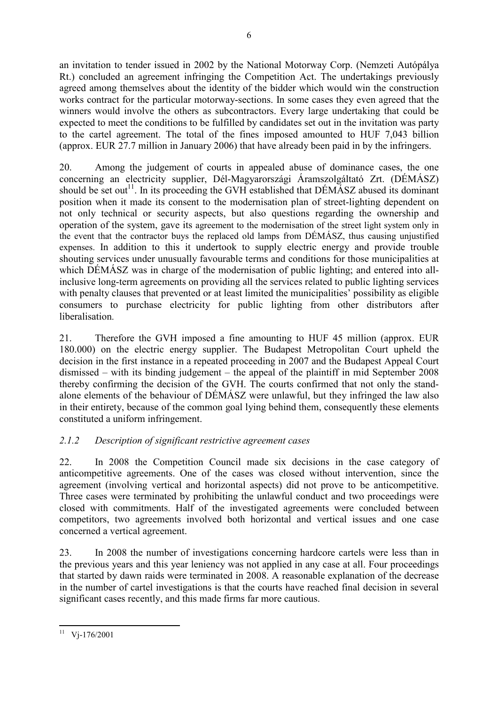an invitation to tender issued in 2002 by the National Motorway Corp. (Nemzeti Autópálya Rt.) concluded an agreement infringing the Competition Act. The undertakings previously agreed among themselves about the identity of the bidder which would win the construction works contract for the particular motorway-sections. In some cases they even agreed that the winners would involve the others as subcontractors. Every large undertaking that could be expected to meet the conditions to be fulfilled by candidates set out in the invitation was party to the cartel agreement. The total of the fines imposed amounted to HUF 7,043 billion (approx. EUR 27.7 million in January 2006) that have already been paid in by the infringers.

20. Among the judgement of courts in appealed abuse of dominance cases, the one concerning an electricity supplier, Dél-Magyarországi Áramszolgáltató Zrt. (DÉMÁSZ) should be set out<sup>11</sup>. In its proceeding the GVH established that  $DÉMÁSZ$  abused its dominant position when it made its consent to the modernisation plan of street-lighting dependent on not only technical or security aspects, but also questions regarding the ownership and operation of the system, gave its agreement to the modernisation of the street light system only in the event that the contractor buys the replaced old lamps from DÉMÁSZ, thus causing unjustified expenses. In addition to this it undertook to supply electric energy and provide trouble shouting services under unusually favourable terms and conditions for those municipalities at which DÉMÁSZ was in charge of the modernisation of public lighting; and entered into allinclusive long-term agreements on providing all the services related to public lighting services with penalty clauses that prevented or at least limited the municipalities' possibility as eligible consumers to purchase electricity for public lighting from other distributors after liberalisation.

21. Therefore the GVH imposed a fine amounting to HUF 45 million (approx. EUR 180.000) on the electric energy supplier. The Budapest Metropolitan Court upheld the decision in the first instance in a repeated proceeding in 2007 and the Budapest Appeal Court dismissed – with its binding judgement – the appeal of the plaintiff in mid September 2008 thereby confirming the decision of the GVH. The courts confirmed that not only the standalone elements of the behaviour of DÉMÁSZ were unlawful, but they infringed the law also in their entirety, because of the common goal lying behind them, consequently these elements constituted a uniform infringement.

### 2.1.2 Description of significant restrictive agreement cases

22. In 2008 the Competition Council made six decisions in the case category of anticompetitive agreements. One of the cases was closed without intervention, since the agreement (involving vertical and horizontal aspects) did not prove to be anticompetitive. Three cases were terminated by prohibiting the unlawful conduct and two proceedings were closed with commitments. Half of the investigated agreements were concluded between competitors, two agreements involved both horizontal and vertical issues and one case concerned a vertical agreement.

23. In 2008 the number of investigations concerning hardcore cartels were less than in the previous years and this year leniency was not applied in any case at all. Four proceedings that started by dawn raids were terminated in 2008. A reasonable explanation of the decrease in the number of cartel investigations is that the courts have reached final decision in several significant cases recently, and this made firms far more cautious.

 $\overline{a}$  $11 \text{ Vj-176/2001}$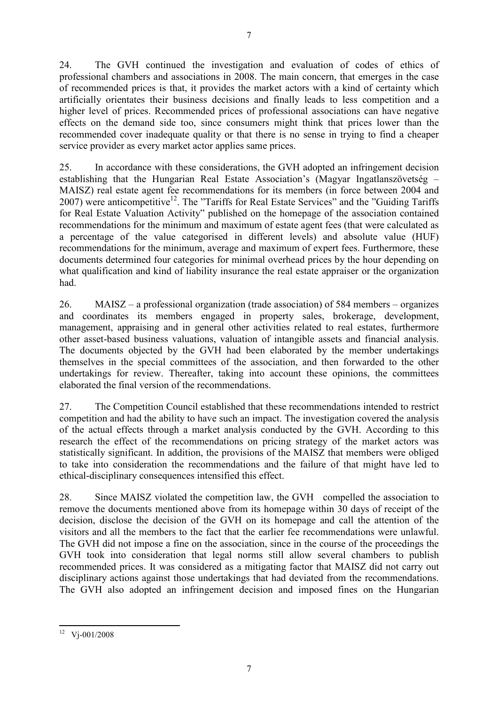24. The GVH continued the investigation and evaluation of codes of ethics of professional chambers and associations in 2008. The main concern, that emerges in the case of recommended prices is that, it provides the market actors with a kind of certainty which artificially orientates their business decisions and finally leads to less competition and a higher level of prices. Recommended prices of professional associations can have negative effects on the demand side too, since consumers might think that prices lower than the recommended cover inadequate quality or that there is no sense in trying to find a cheaper service provider as every market actor applies same prices.

25. In accordance with these considerations, the GVH adopted an infringement decision establishing that the Hungarian Real Estate Association's (Magyar Ingatlanszövetség – MAISZ) real estate agent fee recommendations for its members (in force between 2004 and 2007) were anticompetitive<sup>12</sup>. The "Tariffs for Real Estate Services" and the "Guiding Tariffs" for Real Estate Valuation Activity" published on the homepage of the association contained recommendations for the minimum and maximum of estate agent fees (that were calculated as a percentage of the value categorised in different levels) and absolute value (HUF) recommendations for the minimum, average and maximum of expert fees. Furthermore, these documents determined four categories for minimal overhead prices by the hour depending on what qualification and kind of liability insurance the real estate appraiser or the organization had.

26. MAISZ – a professional organization (trade association) of 584 members – organizes and coordinates its members engaged in property sales, brokerage, development, management, appraising and in general other activities related to real estates, furthermore other asset-based business valuations, valuation of intangible assets and financial analysis. The documents objected by the GVH had been elaborated by the member undertakings themselves in the special committees of the association, and then forwarded to the other undertakings for review. Thereafter, taking into account these opinions, the committees elaborated the final version of the recommendations.

27. The Competition Council established that these recommendations intended to restrict competition and had the ability to have such an impact. The investigation covered the analysis of the actual effects through a market analysis conducted by the GVH. According to this research the effect of the recommendations on pricing strategy of the market actors was statistically significant. In addition, the provisions of the MAISZ that members were obliged to take into consideration the recommendations and the failure of that might have led to ethical-disciplinary consequences intensified this effect.

28. Since MAISZ violated the competition law, the GVH compelled the association to remove the documents mentioned above from its homepage within 30 days of receipt of the decision, disclose the decision of the GVH on its homepage and call the attention of the visitors and all the members to the fact that the earlier fee recommendations were unlawful. The GVH did not impose a fine on the association, since in the course of the proceedings the GVH took into consideration that legal norms still allow several chambers to publish recommended prices. It was considered as a mitigating factor that MAISZ did not carry out disciplinary actions against those undertakings that had deviated from the recommendations. The GVH also adopted an infringement decision and imposed fines on the Hungarian

 $\overline{a}$  $12 \text{ Vj} - 001/2008$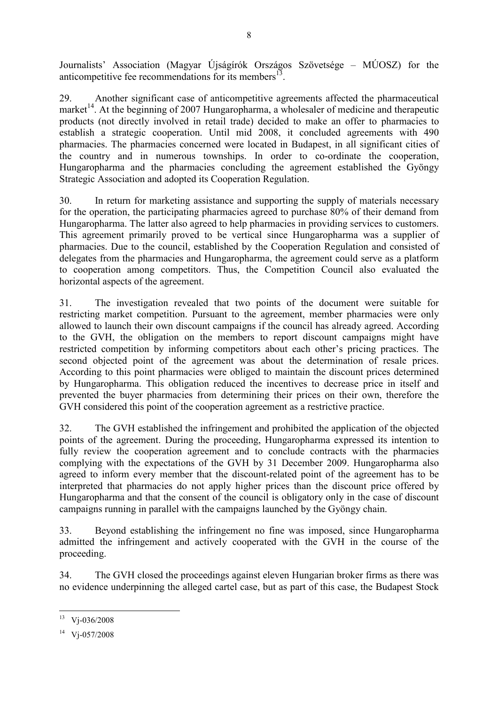Journalists' Association (Magyar Újságírók Országos Szövetsége – MÚOSZ) for the anticompetitive fee recommendations for its members $<sup>13</sup>$ .</sup>

29. Another significant case of anticompetitive agreements affected the pharmaceutical market<sup>14</sup>. At the beginning of 2007 Hungaropharma, a wholesaler of medicine and therapeutic products (not directly involved in retail trade) decided to make an offer to pharmacies to establish a strategic cooperation. Until mid 2008, it concluded agreements with 490 pharmacies. The pharmacies concerned were located in Budapest, in all significant cities of the country and in numerous townships. In order to co-ordinate the cooperation, Hungaropharma and the pharmacies concluding the agreement established the Gyöngy Strategic Association and adopted its Cooperation Regulation.

30. In return for marketing assistance and supporting the supply of materials necessary for the operation, the participating pharmacies agreed to purchase 80% of their demand from Hungaropharma. The latter also agreed to help pharmacies in providing services to customers. This agreement primarily proved to be vertical since Hungaropharma was a supplier of pharmacies. Due to the council, established by the Cooperation Regulation and consisted of delegates from the pharmacies and Hungaropharma, the agreement could serve as a platform to cooperation among competitors. Thus, the Competition Council also evaluated the horizontal aspects of the agreement.

31. The investigation revealed that two points of the document were suitable for restricting market competition. Pursuant to the agreement, member pharmacies were only allowed to launch their own discount campaigns if the council has already agreed. According to the GVH, the obligation on the members to report discount campaigns might have restricted competition by informing competitors about each other's pricing practices. The second objected point of the agreement was about the determination of resale prices. According to this point pharmacies were obliged to maintain the discount prices determined by Hungaropharma. This obligation reduced the incentives to decrease price in itself and prevented the buyer pharmacies from determining their prices on their own, therefore the GVH considered this point of the cooperation agreement as a restrictive practice.

32. The GVH established the infringement and prohibited the application of the objected points of the agreement. During the proceeding, Hungaropharma expressed its intention to fully review the cooperation agreement and to conclude contracts with the pharmacies complying with the expectations of the GVH by 31 December 2009. Hungaropharma also agreed to inform every member that the discount-related point of the agreement has to be interpreted that pharmacies do not apply higher prices than the discount price offered by Hungaropharma and that the consent of the council is obligatory only in the case of discount campaigns running in parallel with the campaigns launched by the Gyöngy chain.

33. Beyond establishing the infringement no fine was imposed, since Hungaropharma admitted the infringement and actively cooperated with the GVH in the course of the proceeding.

34. The GVH closed the proceedings against eleven Hungarian broker firms as there was no evidence underpinning the alleged cartel case, but as part of this case, the Budapest Stock

 $\ddot{\phantom{a}}$ V<sub>j</sub>-036/2008

<sup>14</sup> Vj-057/2008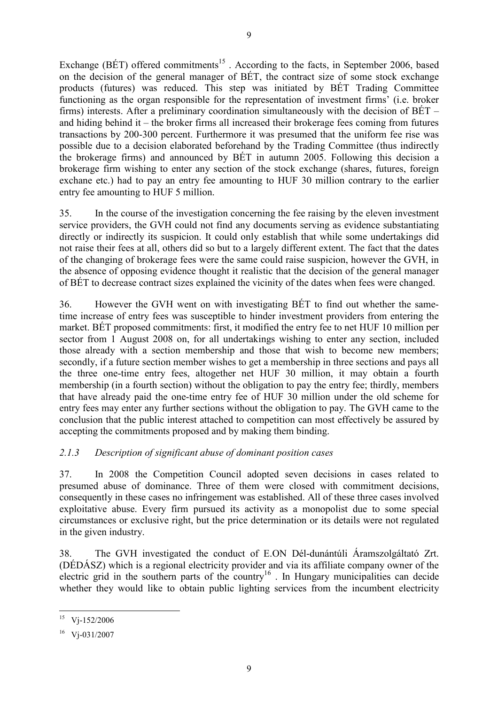Exchange (BÉT) offered commitments<sup>15</sup>. According to the facts, in September 2006, based on the decision of the general manager of BÉT, the contract size of some stock exchange products (futures) was reduced. This step was initiated by BÉT Trading Committee functioning as the organ responsible for the representation of investment firms' (i.e. broker firms) interests. After a preliminary coordination simultaneously with the decision of BÉT – and hiding behind it – the broker firms all increased their brokerage fees coming from futures transactions by 200-300 percent. Furthermore it was presumed that the uniform fee rise was possible due to a decision elaborated beforehand by the Trading Committee (thus indirectly the brokerage firms) and announced by BÉT in autumn 2005. Following this decision a brokerage firm wishing to enter any section of the stock exchange (shares, futures, foreign exchane etc.) had to pay an entry fee amounting to HUF 30 million contrary to the earlier entry fee amounting to HUF 5 million.

35. In the course of the investigation concerning the fee raising by the eleven investment service providers, the GVH could not find any documents serving as evidence substantiating directly or indirectly its suspicion. It could only establish that while some undertakings did not raise their fees at all, others did so but to a largely different extent. The fact that the dates of the changing of brokerage fees were the same could raise suspicion, however the GVH, in the absence of opposing evidence thought it realistic that the decision of the general manager of BÉT to decrease contract sizes explained the vicinity of the dates when fees were changed.

36. However the GVH went on with investigating BÉT to find out whether the sametime increase of entry fees was susceptible to hinder investment providers from entering the market. BÉT proposed commitments: first, it modified the entry fee to net HUF 10 million per sector from 1 August 2008 on, for all undertakings wishing to enter any section, included those already with a section membership and those that wish to become new members; secondly, if a future section member wishes to get a membership in three sections and pays all the three one-time entry fees, altogether net HUF 30 million, it may obtain a fourth membership (in a fourth section) without the obligation to pay the entry fee; thirdly, members that have already paid the one-time entry fee of HUF 30 million under the old scheme for entry fees may enter any further sections without the obligation to pay. The GVH came to the conclusion that the public interest attached to competition can most effectively be assured by accepting the commitments proposed and by making them binding.

### 2.1.3 Description of significant abuse of dominant position cases

37. In 2008 the Competition Council adopted seven decisions in cases related to presumed abuse of dominance. Three of them were closed with commitment decisions, consequently in these cases no infringement was established. All of these three cases involved exploitative abuse. Every firm pursued its activity as a monopolist due to some special circumstances or exclusive right, but the price determination or its details were not regulated in the given industry.

38. The GVH investigated the conduct of E.ON Dél-dunántúli Áramszolgáltató Zrt. (DÉDÁSZ) which is a regional electricity provider and via its affiliate company owner of the electric grid in the southern parts of the country<sup>16</sup>. In Hungary municipalities can decide whether they would like to obtain public lighting services from the incumbent electricity

 $\ddot{\phantom{a}}$ Vj-152/2006

<sup>16</sup> Vj-031/2007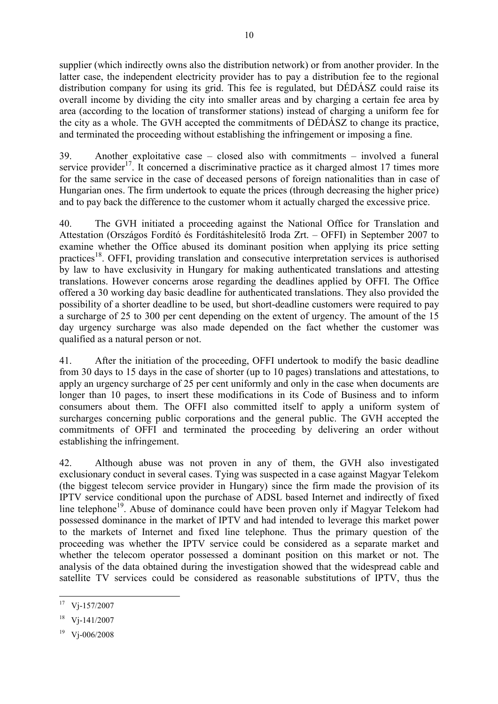supplier (which indirectly owns also the distribution network) or from another provider. In the latter case, the independent electricity provider has to pay a distribution fee to the regional distribution company for using its grid. This fee is regulated, but DÉDÁSZ could raise its overall income by dividing the city into smaller areas and by charging a certain fee area by area (according to the location of transformer stations) instead of charging a uniform fee for the city as a whole. The GVH accepted the commitments of DÉDÁSZ to change its practice, and terminated the proceeding without establishing the infringement or imposing a fine.

39. Another exploitative case – closed also with commitments – involved a funeral service provider<sup>17</sup>. It concerned a discriminative practice as it charged almost 17 times more for the same service in the case of deceased persons of foreign nationalities than in case of Hungarian ones. The firm undertook to equate the prices (through decreasing the higher price) and to pay back the difference to the customer whom it actually charged the excessive price.

40. The GVH initiated a proceeding against the National Office for Translation and Attestation (Országos Fordító és Fordításhitelesítő Iroda Zrt. – OFFI) in September 2007 to examine whether the Office abused its dominant position when applying its price setting practices<sup>18</sup>. OFFI, providing translation and consecutive interpretation services is authorised by law to have exclusivity in Hungary for making authenticated translations and attesting translations. However concerns arose regarding the deadlines applied by OFFI. The Office offered a 30 working day basic deadline for authenticated translations. They also provided the possibility of a shorter deadline to be used, but short-deadline customers were required to pay a surcharge of 25 to 300 per cent depending on the extent of urgency. The amount of the 15 day urgency surcharge was also made depended on the fact whether the customer was qualified as a natural person or not.

41. After the initiation of the proceeding, OFFI undertook to modify the basic deadline from 30 days to 15 days in the case of shorter (up to 10 pages) translations and attestations, to apply an urgency surcharge of 25 per cent uniformly and only in the case when documents are longer than 10 pages, to insert these modifications in its Code of Business and to inform consumers about them. The OFFI also committed itself to apply a uniform system of surcharges concerning public corporations and the general public. The GVH accepted the commitments of OFFI and terminated the proceeding by delivering an order without establishing the infringement.

42. Although abuse was not proven in any of them, the GVH also investigated exclusionary conduct in several cases. Tying was suspected in a case against Magyar Telekom (the biggest telecom service provider in Hungary) since the firm made the provision of its IPTV service conditional upon the purchase of ADSL based Internet and indirectly of fixed line telephone<sup>19</sup>. Abuse of dominance could have been proven only if Magyar Telekom had possessed dominance in the market of IPTV and had intended to leverage this market power to the markets of Internet and fixed line telephone. Thus the primary question of the proceeding was whether the IPTV service could be considered as a separate market and whether the telecom operator possessed a dominant position on this market or not. The analysis of the data obtained during the investigation showed that the widespread cable and satellite TV services could be considered as reasonable substitutions of IPTV, thus the

 $\ddot{\phantom{a}}$ Vj-157/2007

<sup>18</sup> Vj-141/2007

<sup>19</sup> Vj-006/2008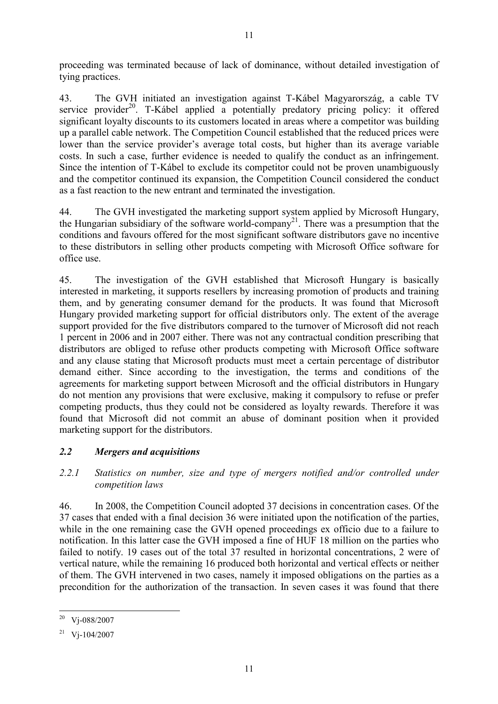proceeding was terminated because of lack of dominance, without detailed investigation of tying practices.

43. The GVH initiated an investigation against T-Kábel Magyarország, a cable TV service provider<sup>20</sup>. T-Kábel applied a potentially predatory pricing policy: it offered significant loyalty discounts to its customers located in areas where a competitor was building up a parallel cable network. The Competition Council established that the reduced prices were lower than the service provider's average total costs, but higher than its average variable costs. In such a case, further evidence is needed to qualify the conduct as an infringement. Since the intention of T-Kábel to exclude its competitor could not be proven unambiguously and the competitor continued its expansion, the Competition Council considered the conduct as a fast reaction to the new entrant and terminated the investigation.

44. The GVH investigated the marketing support system applied by Microsoft Hungary, the Hungarian subsidiary of the software world-company <sup>21</sup>. There was a presumption that the conditions and favours offered for the most significant software distributors gave no incentive to these distributors in selling other products competing with Microsoft Office software for office use.

45. The investigation of the GVH established that Microsoft Hungary is basically interested in marketing, it supports resellers by increasing promotion of products and training them, and by generating consumer demand for the products. It was found that Microsoft Hungary provided marketing support for official distributors only. The extent of the average support provided for the five distributors compared to the turnover of Microsoft did not reach 1 percent in 2006 and in 2007 either. There was not any contractual condition prescribing that distributors are obliged to refuse other products competing with Microsoft Office software and any clause stating that Microsoft products must meet a certain percentage of distributor demand either. Since according to the investigation, the terms and conditions of the agreements for marketing support between Microsoft and the official distributors in Hungary do not mention any provisions that were exclusive, making it compulsory to refuse or prefer competing products, thus they could not be considered as loyalty rewards. Therefore it was found that Microsoft did not commit an abuse of dominant position when it provided marketing support for the distributors.

### 2.2 Mergers and acquisitions

2.2.1 Statistics on number, size and type of mergers notified and/or controlled under competition laws

46. In 2008, the Competition Council adopted 37 decisions in concentration cases. Of the 37 cases that ended with a final decision 36 were initiated upon the notification of the parties, while in the one remaining case the GVH opened proceedings ex officio due to a failure to notification. In this latter case the GVH imposed a fine of HUF 18 million on the parties who failed to notify. 19 cases out of the total 37 resulted in horizontal concentrations, 2 were of vertical nature, while the remaining 16 produced both horizontal and vertical effects or neither of them. The GVH intervened in two cases, namely it imposed obligations on the parties as a precondition for the authorization of the transaction. In seven cases it was found that there

 $\ddot{\phantom{a}}$ Vj-088/2007

 $21$  V<sub>j</sub>-104/2007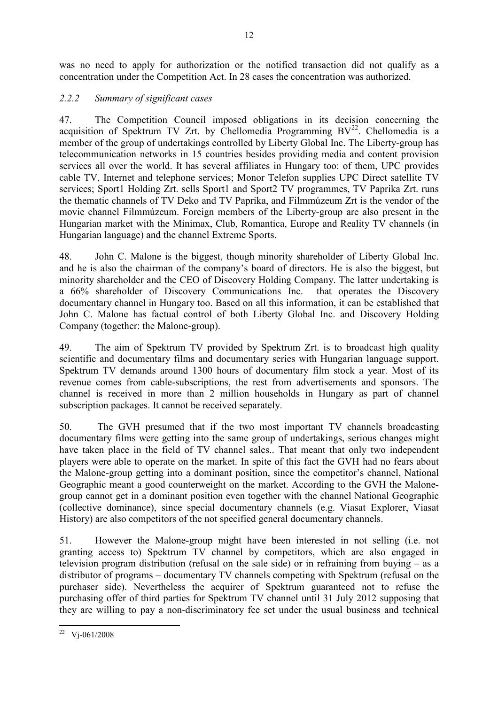was no need to apply for authorization or the notified transaction did not qualify as a concentration under the Competition Act. In 28 cases the concentration was authorized.

## 2.2.2 Summary of significant cases

47. The Competition Council imposed obligations in its decision concerning the acquisition of Spektrum TV Zrt. by Chellomedia Programming  $BV<sup>22</sup>$ . Chellomedia is a member of the group of undertakings controlled by Liberty Global Inc. The Liberty-group has telecommunication networks in 15 countries besides providing media and content provision services all over the world. It has several affiliates in Hungary too: of them, UPC provides cable TV, Internet and telephone services; Monor Telefon supplies UPC Direct satellite TV services; Sport1 Holding Zrt. sells Sport1 and Sport2 TV programmes, TV Paprika Zrt. runs the thematic channels of TV Deko and TV Paprika, and Filmmúzeum Zrt is the vendor of the movie channel Filmmúzeum. Foreign members of the Liberty-group are also present in the Hungarian market with the Minimax, Club, Romantica, Europe and Reality TV channels (in Hungarian language) and the channel Extreme Sports.

48. John C. Malone is the biggest, though minority shareholder of Liberty Global Inc. and he is also the chairman of the company's board of directors. He is also the biggest, but minority shareholder and the CEO of Discovery Holding Company. The latter undertaking is a 66% shareholder of Discovery Communications Inc. that operates the Discovery documentary channel in Hungary too. Based on all this information, it can be established that John C. Malone has factual control of both Liberty Global Inc. and Discovery Holding Company (together: the Malone-group).

49. The aim of Spektrum TV provided by Spektrum Zrt. is to broadcast high quality scientific and documentary films and documentary series with Hungarian language support. Spektrum TV demands around 1300 hours of documentary film stock a year. Most of its revenue comes from cable-subscriptions, the rest from advertisements and sponsors. The channel is received in more than 2 million households in Hungary as part of channel subscription packages. It cannot be received separately.

50. The GVH presumed that if the two most important TV channels broadcasting documentary films were getting into the same group of undertakings, serious changes might have taken place in the field of TV channel sales.. That meant that only two independent players were able to operate on the market. In spite of this fact the GVH had no fears about the Malone-group getting into a dominant position, since the competitor's channel, National Geographic meant a good counterweight on the market. According to the GVH the Malonegroup cannot get in a dominant position even together with the channel National Geographic (collective dominance), since special documentary channels (e.g. Viasat Explorer, Viasat History) are also competitors of the not specified general documentary channels.

51. However the Malone-group might have been interested in not selling (i.e. not granting access to) Spektrum TV channel by competitors, which are also engaged in television program distribution (refusal on the sale side) or in refraining from buying – as a distributor of programs – documentary TV channels competing with Spektrum (refusal on the purchaser side). Nevertheless the acquirer of Spektrum guaranteed not to refuse the purchasing offer of third parties for Spektrum TV channel until 31 July 2012 supposing that they are willing to pay a non-discriminatory fee set under the usual business and technical

 $\overline{a}$  $22 \text{ Vj-061/2008}$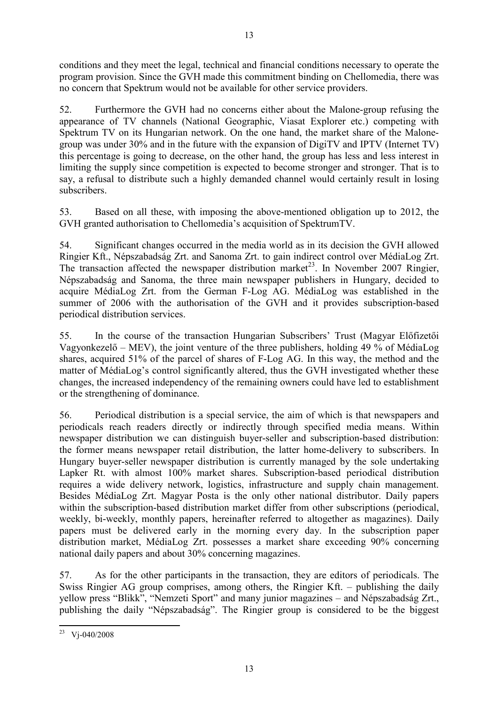conditions and they meet the legal, technical and financial conditions necessary to operate the program provision. Since the GVH made this commitment binding on Chellomedia, there was no concern that Spektrum would not be available for other service providers.

52. Furthermore the GVH had no concerns either about the Malone-group refusing the appearance of TV channels (National Geographic, Viasat Explorer etc.) competing with Spektrum TV on its Hungarian network. On the one hand, the market share of the Malonegroup was under 30% and in the future with the expansion of DigiTV and IPTV (Internet TV) this percentage is going to decrease, on the other hand, the group has less and less interest in limiting the supply since competition is expected to become stronger and stronger. That is to say, a refusal to distribute such a highly demanded channel would certainly result in losing subscribers.

53. Based on all these, with imposing the above-mentioned obligation up to 2012, the GVH granted authorisation to Chellomedia's acquisition of SpektrumTV.

54. Significant changes occurred in the media world as in its decision the GVH allowed Ringier Kft., Népszabadság Zrt. and Sanoma Zrt. to gain indirect control over MédiaLog Zrt. The transaction affected the newspaper distribution market<sup>23</sup>. In November 2007 Ringier, Népszabadság and Sanoma, the three main newspaper publishers in Hungary, decided to acquire MédiaLog Zrt. from the German F-Log AG. MédiaLog was established in the summer of 2006 with the authorisation of the GVH and it provides subscription-based periodical distribution services.

55. In the course of the transaction Hungarian Subscribers' Trust (Magyar Előfizetői Vagyonkezelő – MEV), the joint venture of the three publishers, holding 49 % of MédiaLog shares, acquired 51% of the parcel of shares of F-Log AG. In this way, the method and the matter of MédiaLog's control significantly altered, thus the GVH investigated whether these changes, the increased independency of the remaining owners could have led to establishment or the strengthening of dominance.

56. Periodical distribution is a special service, the aim of which is that newspapers and periodicals reach readers directly or indirectly through specified media means. Within newspaper distribution we can distinguish buyer-seller and subscription-based distribution: the former means newspaper retail distribution, the latter home-delivery to subscribers. In Hungary buyer-seller newspaper distribution is currently managed by the sole undertaking Lapker Rt. with almost 100% market shares. Subscription-based periodical distribution requires a wide delivery network, logistics, infrastructure and supply chain management. Besides MédiaLog Zrt. Magyar Posta is the only other national distributor. Daily papers within the subscription-based distribution market differ from other subscriptions (periodical, weekly, bi-weekly, monthly papers, hereinafter referred to altogether as magazines). Daily papers must be delivered early in the morning every day. In the subscription paper distribution market, MédiaLog Zrt. possesses a market share exceeding 90% concerning national daily papers and about 30% concerning magazines.

57. As for the other participants in the transaction, they are editors of periodicals. The Swiss Ringier AG group comprises, among others, the Ringier Kft. – publishing the daily yellow press "Blikk", "Nemzeti Sport" and many junior magazines – and Népszabadság Zrt., publishing the daily "Népszabadság". The Ringier group is considered to be the biggest

 $\overline{a}$  $^{23}$  Vj-040/2008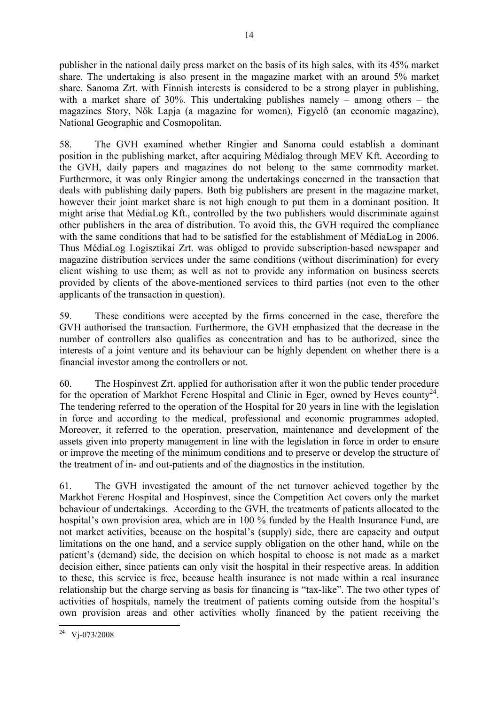publisher in the national daily press market on the basis of its high sales, with its 45% market share. The undertaking is also present in the magazine market with an around 5% market share. Sanoma Zrt. with Finnish interests is considered to be a strong player in publishing, with a market share of 30%. This undertaking publishes namely – among others – the magazines Story, Nők Lapja (a magazine for women), Figyelő (an economic magazine), National Geographic and Cosmopolitan.

58. The GVH examined whether Ringier and Sanoma could establish a dominant position in the publishing market, after acquiring Médialog through MEV Kft. According to the GVH, daily papers and magazines do not belong to the same commodity market. Furthermore, it was only Ringier among the undertakings concerned in the transaction that deals with publishing daily papers. Both big publishers are present in the magazine market, however their joint market share is not high enough to put them in a dominant position. It might arise that MédiaLog Kft., controlled by the two publishers would discriminate against other publishers in the area of distribution. To avoid this, the GVH required the compliance with the same conditions that had to be satisfied for the establishment of MédiaLog in 2006. Thus MédiaLog Logisztikai Zrt. was obliged to provide subscription-based newspaper and magazine distribution services under the same conditions (without discrimination) for every client wishing to use them; as well as not to provide any information on business secrets provided by clients of the above-mentioned services to third parties (not even to the other applicants of the transaction in question).

59. These conditions were accepted by the firms concerned in the case, therefore the GVH authorised the transaction. Furthermore, the GVH emphasized that the decrease in the number of controllers also qualifies as concentration and has to be authorized, since the interests of a joint venture and its behaviour can be highly dependent on whether there is a financial investor among the controllers or not.

60. The Hospinvest Zrt. applied for authorisation after it won the public tender procedure for the operation of Markhot Ferenc Hospital and Clinic in Eger, owned by Heves county<sup>24</sup>. The tendering referred to the operation of the Hospital for 20 years in line with the legislation in force and according to the medical, professional and economic programmes adopted. Moreover, it referred to the operation, preservation, maintenance and development of the assets given into property management in line with the legislation in force in order to ensure or improve the meeting of the minimum conditions and to preserve or develop the structure of the treatment of in- and out-patients and of the diagnostics in the institution.

61. The GVH investigated the amount of the net turnover achieved together by the Markhot Ferenc Hospital and Hospinvest, since the Competition Act covers only the market behaviour of undertakings. According to the GVH, the treatments of patients allocated to the hospital's own provision area, which are in 100 % funded by the Health Insurance Fund, are not market activities, because on the hospital's (supply) side, there are capacity and output limitations on the one hand, and a service supply obligation on the other hand, while on the patient's (demand) side, the decision on which hospital to choose is not made as a market decision either, since patients can only visit the hospital in their respective areas. In addition to these, this service is free, because health insurance is not made within a real insurance relationship but the charge serving as basis for financing is "tax-like". The two other types of activities of hospitals, namely the treatment of patients coming outside from the hospital's own provision areas and other activities wholly financed by the patient receiving the

 $\overline{a}$  $^{24}$  Vj-073/2008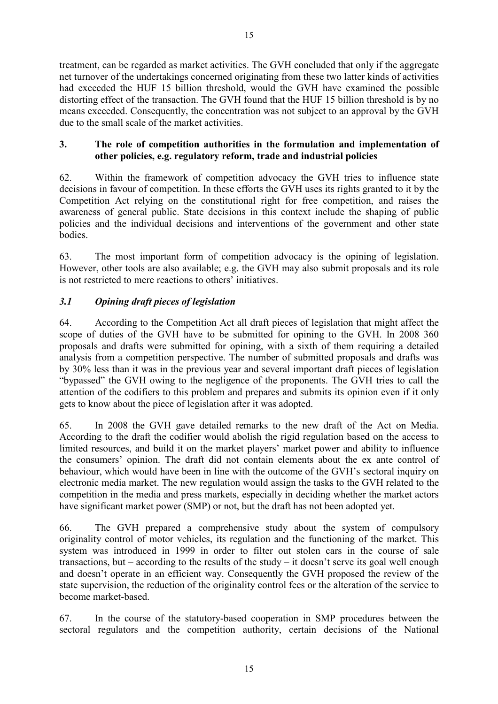treatment, can be regarded as market activities. The GVH concluded that only if the aggregate

15

net turnover of the undertakings concerned originating from these two latter kinds of activities had exceeded the HUF 15 billion threshold, would the GVH have examined the possible distorting effect of the transaction. The GVH found that the HUF 15 billion threshold is by no means exceeded. Consequently, the concentration was not subject to an approval by the GVH due to the small scale of the market activities.

### 3. The role of competition authorities in the formulation and implementation of other policies, e.g. regulatory reform, trade and industrial policies

62. Within the framework of competition advocacy the GVH tries to influence state decisions in favour of competition. In these efforts the GVH uses its rights granted to it by the Competition Act relying on the constitutional right for free competition, and raises the awareness of general public. State decisions in this context include the shaping of public policies and the individual decisions and interventions of the government and other state bodies.

63. The most important form of competition advocacy is the opining of legislation. However, other tools are also available; e.g. the GVH may also submit proposals and its role is not restricted to mere reactions to others' initiatives.

# 3.1 Opining draft pieces of legislation

64. According to the Competition Act all draft pieces of legislation that might affect the scope of duties of the GVH have to be submitted for opining to the GVH. In 2008 360 proposals and drafts were submitted for opining, with a sixth of them requiring a detailed analysis from a competition perspective. The number of submitted proposals and drafts was by 30% less than it was in the previous year and several important draft pieces of legislation "bypassed" the GVH owing to the negligence of the proponents. The GVH tries to call the attention of the codifiers to this problem and prepares and submits its opinion even if it only gets to know about the piece of legislation after it was adopted.

65. In 2008 the GVH gave detailed remarks to the new draft of the Act on Media. According to the draft the codifier would abolish the rigid regulation based on the access to limited resources, and build it on the market players' market power and ability to influence the consumers' opinion. The draft did not contain elements about the ex ante control of behaviour, which would have been in line with the outcome of the GVH's sectoral inquiry on electronic media market. The new regulation would assign the tasks to the GVH related to the competition in the media and press markets, especially in deciding whether the market actors have significant market power (SMP) or not, but the draft has not been adopted yet.

66. The GVH prepared a comprehensive study about the system of compulsory originality control of motor vehicles, its regulation and the functioning of the market. This system was introduced in 1999 in order to filter out stolen cars in the course of sale transactions, but – according to the results of the study – it doesn't serve its goal well enough and doesn't operate in an efficient way. Consequently the GVH proposed the review of the state supervision, the reduction of the originality control fees or the alteration of the service to become market-based.

67. In the course of the statutory-based cooperation in SMP procedures between the sectoral regulators and the competition authority, certain decisions of the National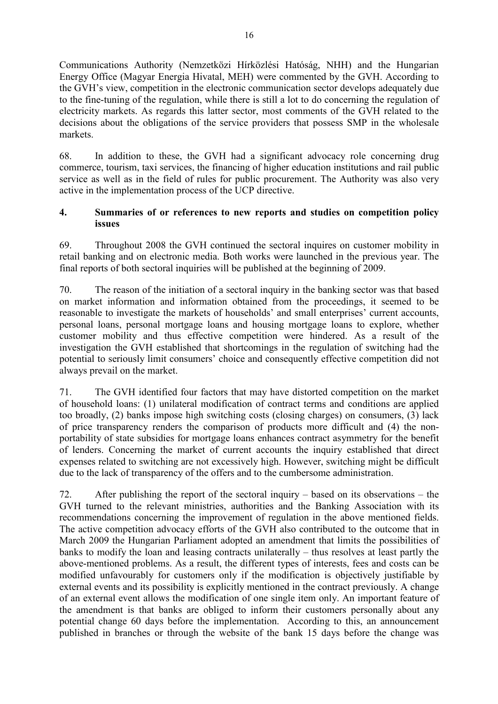Communications Authority (Nemzetközi Hírközlési Hatóság, NHH) and the Hungarian Energy Office (Magyar Energia Hivatal, MEH) were commented by the GVH. According to the GVH's view, competition in the electronic communication sector develops adequately due to the fine-tuning of the regulation, while there is still a lot to do concerning the regulation of electricity markets. As regards this latter sector, most comments of the GVH related to the decisions about the obligations of the service providers that possess SMP in the wholesale markets.

68. In addition to these, the GVH had a significant advocacy role concerning drug commerce, tourism, taxi services, the financing of higher education institutions and rail public service as well as in the field of rules for public procurement. The Authority was also very active in the implementation process of the UCP directive.

#### 4. Summaries of or references to new reports and studies on competition policy issues

69. Throughout 2008 the GVH continued the sectoral inquires on customer mobility in retail banking and on electronic media. Both works were launched in the previous year. The final reports of both sectoral inquiries will be published at the beginning of 2009.

70. The reason of the initiation of a sectoral inquiry in the banking sector was that based on market information and information obtained from the proceedings, it seemed to be reasonable to investigate the markets of households' and small enterprises' current accounts, personal loans, personal mortgage loans and housing mortgage loans to explore, whether customer mobility and thus effective competition were hindered. As a result of the investigation the GVH established that shortcomings in the regulation of switching had the potential to seriously limit consumers' choice and consequently effective competition did not always prevail on the market.

71. The GVH identified four factors that may have distorted competition on the market of household loans: (1) unilateral modification of contract terms and conditions are applied too broadly, (2) banks impose high switching costs (closing charges) on consumers, (3) lack of price transparency renders the comparison of products more difficult and (4) the nonportability of state subsidies for mortgage loans enhances contract asymmetry for the benefit of lenders. Concerning the market of current accounts the inquiry established that direct expenses related to switching are not excessively high. However, switching might be difficult due to the lack of transparency of the offers and to the cumbersome administration.

72. After publishing the report of the sectoral inquiry – based on its observations – the GVH turned to the relevant ministries, authorities and the Banking Association with its recommendations concerning the improvement of regulation in the above mentioned fields. The active competition advocacy efforts of the GVH also contributed to the outcome that in March 2009 the Hungarian Parliament adopted an amendment that limits the possibilities of banks to modify the loan and leasing contracts unilaterally – thus resolves at least partly the above-mentioned problems. As a result, the different types of interests, fees and costs can be modified unfavourably for customers only if the modification is objectively justifiable by external events and its possibility is explicitly mentioned in the contract previously. A change of an external event allows the modification of one single item only. An important feature of the amendment is that banks are obliged to inform their customers personally about any potential change 60 days before the implementation. According to this, an announcement published in branches or through the website of the bank 15 days before the change was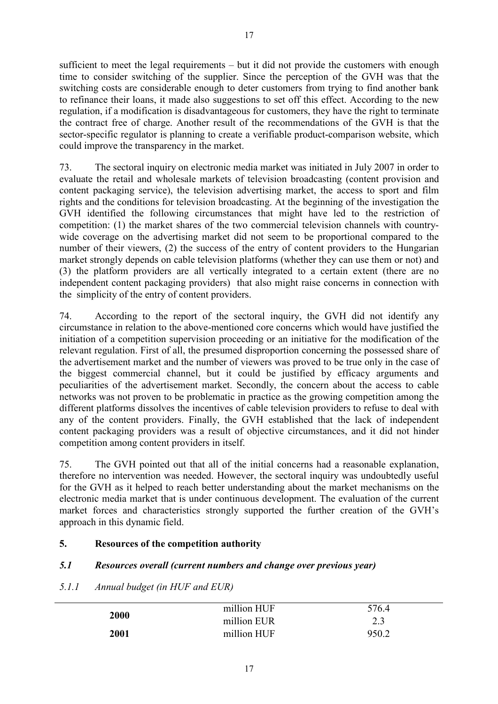sufficient to meet the legal requirements – but it did not provide the customers with enough time to consider switching of the supplier. Since the perception of the GVH was that the switching costs are considerable enough to deter customers from trying to find another bank to refinance their loans, it made also suggestions to set off this effect. According to the new regulation, if a modification is disadvantageous for customers, they have the right to terminate the contract free of charge. Another result of the recommendations of the GVH is that the sector-specific regulator is planning to create a verifiable product-comparison website, which could improve the transparency in the market.

73. The sectoral inquiry on electronic media market was initiated in July 2007 in order to evaluate the retail and wholesale markets of television broadcasting (content provision and content packaging service), the television advertising market, the access to sport and film rights and the conditions for television broadcasting. At the beginning of the investigation the GVH identified the following circumstances that might have led to the restriction of competition: (1) the market shares of the two commercial television channels with countrywide coverage on the advertising market did not seem to be proportional compared to the number of their viewers, (2) the success of the entry of content providers to the Hungarian market strongly depends on cable television platforms (whether they can use them or not) and (3) the platform providers are all vertically integrated to a certain extent (there are no independent content packaging providers) that also might raise concerns in connection with the simplicity of the entry of content providers.

74. According to the report of the sectoral inquiry, the GVH did not identify any circumstance in relation to the above-mentioned core concerns which would have justified the initiation of a competition supervision proceeding or an initiative for the modification of the relevant regulation. First of all, the presumed disproportion concerning the possessed share of the advertisement market and the number of viewers was proved to be true only in the case of the biggest commercial channel, but it could be justified by efficacy arguments and peculiarities of the advertisement market. Secondly, the concern about the access to cable networks was not proven to be problematic in practice as the growing competition among the different platforms dissolves the incentives of cable television providers to refuse to deal with any of the content providers. Finally, the GVH established that the lack of independent content packaging providers was a result of objective circumstances, and it did not hinder competition among content providers in itself.

75. The GVH pointed out that all of the initial concerns had a reasonable explanation, therefore no intervention was needed. However, the sectoral inquiry was undoubtedly useful for the GVH as it helped to reach better understanding about the market mechanisms on the electronic media market that is under continuous development. The evaluation of the current market forces and characteristics strongly supported the further creation of the GVH's approach in this dynamic field.

### 5. Resources of the competition authority

### 5.1 Resources overall (current numbers and change over previous year)

### 5.1.1 Annual budget (in HUF and EUR)

|      | million HUF | 576.4 |  |  |
|------|-------------|-------|--|--|
| 2000 | million EUR | 2.3   |  |  |
| 2001 | million HUF | 950.2 |  |  |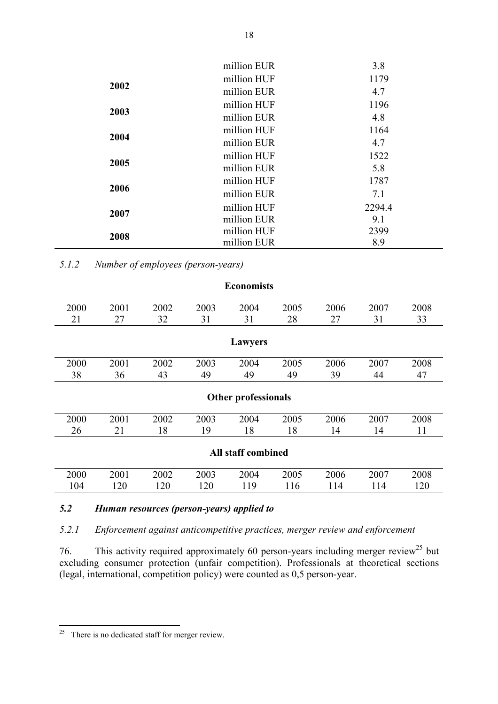|      | million EUR | 3.8    |
|------|-------------|--------|
|      | million HUF | 1179   |
| 2002 | million EUR | 4.7    |
|      | million HUF | 1196   |
| 2003 | million EUR | 4.8    |
|      | million HUF | 1164   |
| 2004 | million EUR | 4.7    |
|      | million HUF | 1522   |
| 2005 | million EUR | 5.8    |
|      | million HUF | 1787   |
| 2006 | million EUR | 7.1    |
|      | million HUF | 2294.4 |
| 2007 | million EUR | 9.1    |
| 2008 | million HUF | 2399   |
|      | million EUR | 8.9    |

5.1.2 Number of employees (person-years)

| <b>Economists</b>         |      |      |      |      |      |      |      |      |
|---------------------------|------|------|------|------|------|------|------|------|
| 2000                      | 2001 | 2002 | 2003 | 2004 | 2005 | 2006 | 2007 | 2008 |
| 21                        | 27   | 32   | 31   | 31   | 28   | 27   | 31   | 33   |
|                           |      |      |      |      |      |      |      |      |
| <b>Lawyers</b>            |      |      |      |      |      |      |      |      |
| 2000                      | 2001 | 2002 | 2003 | 2004 | 2005 | 2006 | 2007 | 2008 |
| 38                        | 36   | 43   | 49   | 49   | 49   | 39   | 44   | 47   |
|                           |      |      |      |      |      |      |      |      |
| Other professionals       |      |      |      |      |      |      |      |      |
| 2000                      | 2001 | 2002 | 2003 | 2004 | 2005 | 2006 | 2007 | 2008 |
| 26                        | 21   | 18   | 19   | 18   | 18   | 14   | 14   | 11   |
|                           |      |      |      |      |      |      |      |      |
| <b>All staff combined</b> |      |      |      |      |      |      |      |      |
| 2000                      | 2001 | 2002 | 2003 | 2004 | 2005 | 2006 | 2007 | 2008 |
| 104                       | 120  | 120  | 120  | 119  | 116  | 114  | 114  | 120  |
|                           |      |      |      |      |      |      |      |      |

### 5.2 Human resources (person-years) applied to

5.2.1 Enforcement against anticompetitive practices, merger review and enforcement

76. This activity required approximately 60 person-years including merger review<sup>25</sup> but excluding consumer protection (unfair competition). Professionals at theoretical sections (legal, international, competition policy) were counted as 0,5 person-year.

 $\overline{a}$ 

 $25$  There is no dedicated staff for merger review.